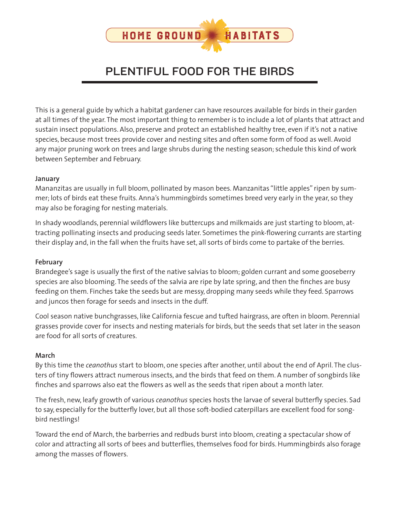

# PLENTIFUL FOOD FOR THE BIRDS

This is a general guide by which a habitat gardener can have resources available for birds in their garden at all times of the year. The most important thing to remember is to include a lot of plants that attract and sustain insect populations. Also, preserve and protect an established healthy tree, even if it's not a native species, because most trees provide cover and nesting sites and often some form of food as well. Avoid any major pruning work on trees and large shrubs during the nesting season; schedule this kind of work between September and February.

#### **January**

Mananzitas are usually in full bloom, pollinated by mason bees. Manzanitas "little apples" ripen by summer; lots of birds eat these fruits. Anna's hummingbirds sometimes breed very early in the year, so they may also be foraging for nesting materials.

In shady woodlands, perennial wildflowers like buttercups and milkmaids are just starting to bloom, attracting pollinating insects and producing seeds later. Sometimes the pink-flowering currants are starting their display and, in the fall when the fruits have set, all sorts of birds come to partake of the berries.

#### **February**

Brandegee's sage is usually the first of the native salvias to bloom; golden currant and some gooseberry species are also blooming. The seeds of the salvia are ripe by late spring, and then the finches are busy feeding on them. Finches take the seeds but are messy, dropping many seeds while they feed. Sparrows and juncos then forage for seeds and insects in the duff.

Cool season native bunchgrasses, like California fescue and tufted hairgrass, are often in bloom. Perennial grasses provide cover for insects and nesting materials for birds, but the seeds that set later in the season are food for all sorts of creatures.

#### **March**

By this time the *ceanothus* start to bloom, one species after another, until about the end of April. The clusters of tiny flowers attract numerous insects, and the birds that feed on them. A number of songbirds like finches and sparrows also eat the flowers as well as the seeds that ripen about a month later.

The fresh, new, leafy growth of various *ceanothus* species hosts the larvae of several butterfly species. Sad to say, especially for the butterfly lover, but all those soft-bodied caterpillars are excellent food for songbird nestlings!

Toward the end of March, the barberries and redbuds burst into bloom, creating a spectacular show of color and attracting all sorts of bees and butterflies, themselves food for birds. Hummingbirds also forage among the masses of flowers.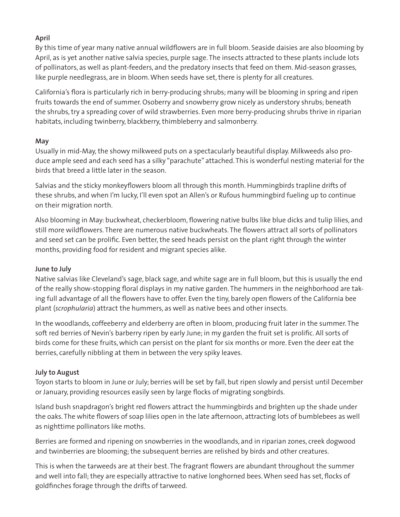# **April**

By this time of year many native annual wildflowers are in full bloom. Seaside daisies are also blooming by April, as is yet another native salvia species, purple sage. The insects attracted to these plants include lots of pollinators, as well as plant-feeders, and the predatory insects that feed on them. Mid-season grasses, like purple needlegrass, are in bloom. When seeds have set, there is plenty for all creatures.

California's flora is particularly rich in berry-producing shrubs; many will be blooming in spring and ripen fruits towards the end of summer. Osoberry and snowberry grow nicely as understory shrubs; beneath the shrubs, try a spreading cover of wild strawberries. Even more berry-producing shrubs thrive in riparian habitats, including twinberry, blackberry, thimbleberry and salmonberry.

## **May**

Usually in mid-May, the showy milkweed puts on a spectacularly beautiful display. Milkweeds also produce ample seed and each seed has a silky "parachute" attached. This is wonderful nesting material for the birds that breed a little later in the season.

Salvias and the sticky monkeyflowers bloom all through this month. Hummingbirds trapline drifts of these shrubs, and when I'm lucky, I'll even spot an Allen's or Rufous hummingbird fueling up to continue on their migration north.

Also blooming in May: buckwheat, checkerbloom, flowering native bulbs like blue dicks and tulip lilies, and still more wildflowers. There are numerous native buckwheats. The flowers attract all sorts of pollinators and seed set can be prolific. Even better, the seed heads persist on the plant right through the winter months, providing food for resident and migrant species alike.

## **June to July**

Native salvias like Cleveland's sage, black sage, and white sage are in full bloom, but this is usually the end of the really show-stopping floral displays in my native garden. The hummers in the neighborhood are taking full advantage of all the flowers have to offer. Even the tiny, barely open flowers of the California bee plant (*scrophularia*) attract the hummers, as well as native bees and other insects.

In the woodlands, coffeeberry and elderberry are often in bloom, producing fruit later in the summer. The soft red berries of Nevin's barberry ripen by early June; in my garden the fruit set is prolific. All sorts of birds come for these fruits, which can persist on the plant for six months or more. Even the deer eat the berries, carefully nibbling at them in between the very spiky leaves.

# **July to August**

Toyon starts to bloom in June or July; berries will be set by fall, but ripen slowly and persist until December or January, providing resources easily seen by large flocks of migrating songbirds.

Island bush snapdragon's bright red flowers attract the hummingbirds and brighten up the shade under the oaks. The white flowers of soap lilies open in the late afternoon, attracting lots of bumblebees as well as nighttime pollinators like moths.

Berries are formed and ripening on snowberries in the woodlands, and in riparian zones, creek dogwood and twinberries are blooming; the subsequent berries are relished by birds and other creatures.

This is when the tarweeds are at their best. The fragrant flowers are abundant throughout the summer and well into fall; they are especially attractive to native longhorned bees. When seed has set, flocks of goldfinches forage through the drifts of tarweed.